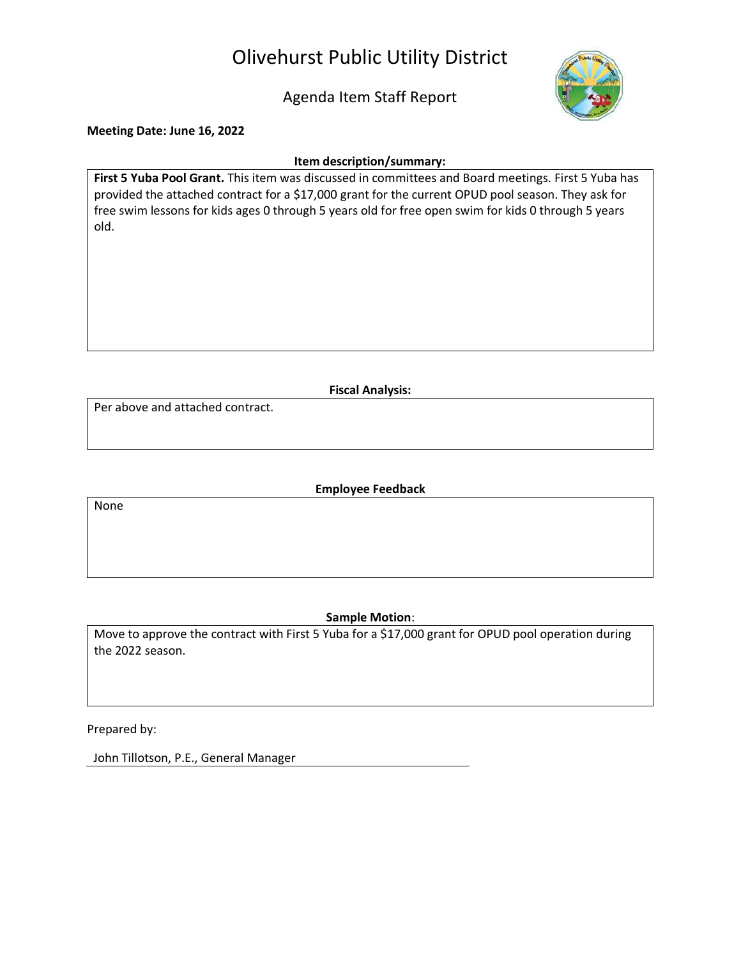# Olivehurst Public Utility District

Agenda Item Staff Report



**Meeting Date: June 16, 2022**

#### **Item description/summary:**

**First 5 Yuba Pool Grant.** This item was discussed in committees and Board meetings. First 5 Yuba has provided the attached contract for a \$17,000 grant for the current OPUD pool season. They ask for free swim lessons for kids ages 0 through 5 years old for free open swim for kids 0 through 5 years old.

**Fiscal Analysis:**

Per above and attached contract.

**Employee Feedback**

None

### **Sample Motion**:

Move to approve the contract with First 5 Yuba for a \$17,000 grant for OPUD pool operation during the 2022 season.

Prepared by:

John Tillotson, P.E., General Manager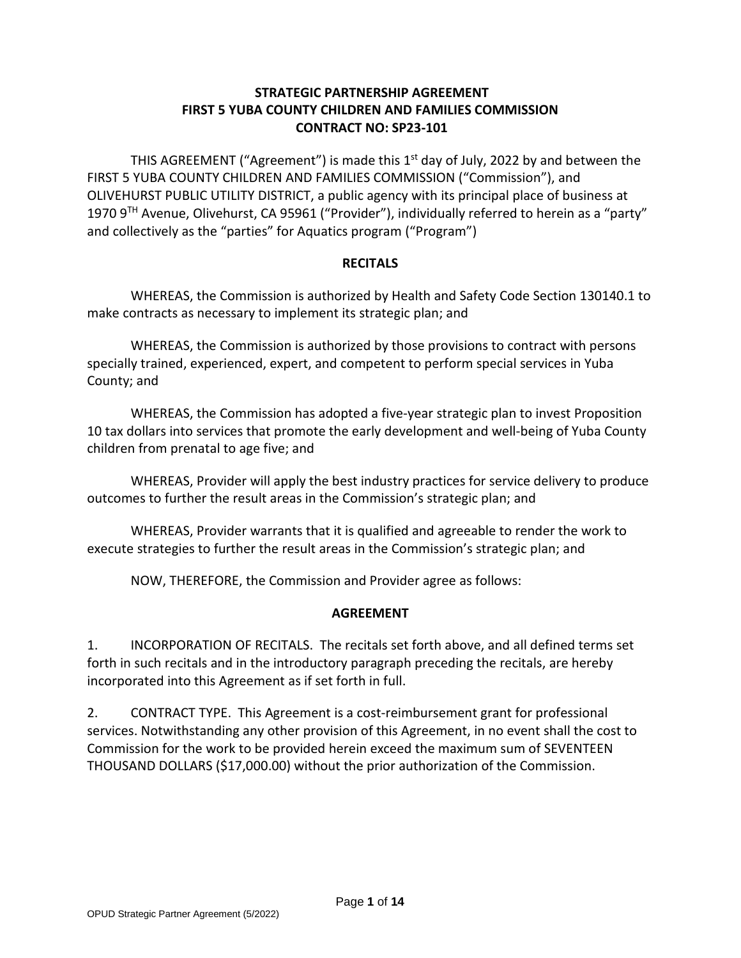## **STRATEGIC PARTNERSHIP AGREEMENT FIRST 5 YUBA COUNTY CHILDREN AND FAMILIES COMMISSION CONTRACT NO: SP23-101**

THIS AGREEMENT ("Agreement") is made this  $1<sup>st</sup>$  day of July, 2022 by and between the FIRST 5 YUBA COUNTY CHILDREN AND FAMILIES COMMISSION ("Commission"), and OLIVEHURST PUBLIC UTILITY DISTRICT, a public agency with its principal place of business at 1970 9<sup>TH</sup> Avenue, Olivehurst, CA 95961 ("Provider"), individually referred to herein as a "party" and collectively as the "parties" for Aquatics program ("Program")

### **RECITALS**

WHEREAS, the Commission is authorized by Health and Safety Code Section 130140.1 to make contracts as necessary to implement its strategic plan; and

WHEREAS, the Commission is authorized by those provisions to contract with persons specially trained, experienced, expert, and competent to perform special services in Yuba County; and

WHEREAS, the Commission has adopted a five-year strategic plan to invest Proposition 10 tax dollars into services that promote the early development and well-being of Yuba County children from prenatal to age five; and

WHEREAS, Provider will apply the best industry practices for service delivery to produce outcomes to further the result areas in the Commission's strategic plan; and

WHEREAS, Provider warrants that it is qualified and agreeable to render the work to execute strategies to further the result areas in the Commission's strategic plan; and

NOW, THEREFORE, the Commission and Provider agree as follows:

### **AGREEMENT**

1. INCORPORATION OF RECITALS. The recitals set forth above, and all defined terms set forth in such recitals and in the introductory paragraph preceding the recitals, are hereby incorporated into this Agreement as if set forth in full.

2. CONTRACT TYPE. This Agreement is a cost-reimbursement grant for professional services. Notwithstanding any other provision of this Agreement, in no event shall the cost to Commission for the work to be provided herein exceed the maximum sum of SEVENTEEN THOUSAND DOLLARS (\$17,000.00) without the prior authorization of the Commission.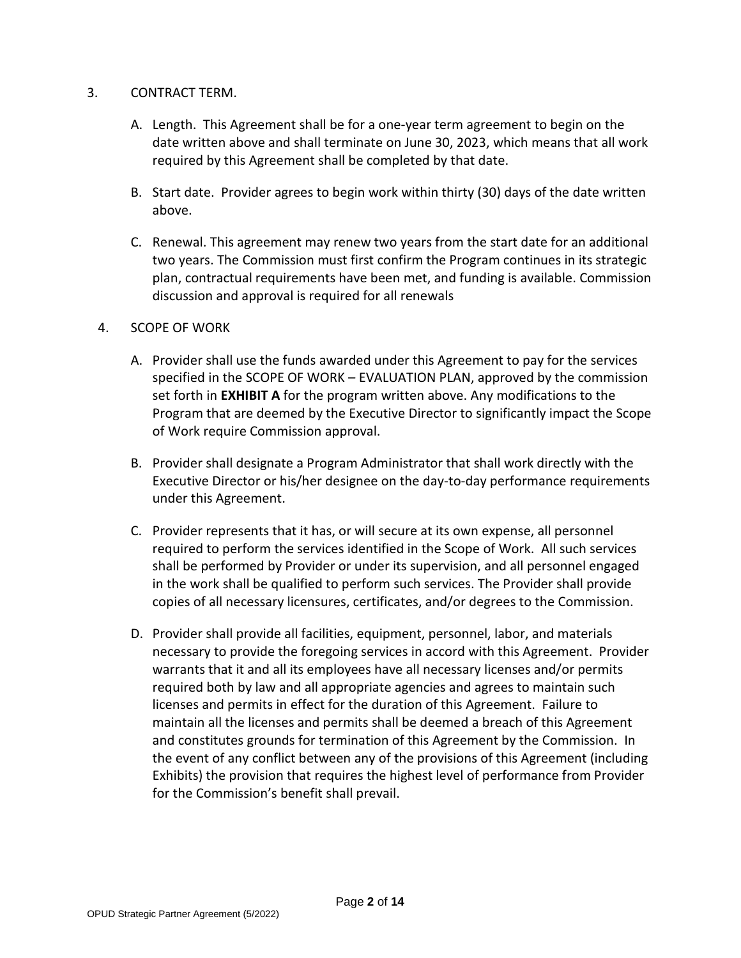### 3. CONTRACT TERM.

- A. Length. This Agreement shall be for a one-year term agreement to begin on the date written above and shall terminate on June 30, 2023, which means that all work required by this Agreement shall be completed by that date.
- B. Start date. Provider agrees to begin work within thirty (30) days of the date written above.
- C. Renewal. This agreement may renew two years from the start date for an additional two years. The Commission must first confirm the Program continues in its strategic plan, contractual requirements have been met, and funding is available. Commission discussion and approval is required for all renewals

#### 4. SCOPE OF WORK

- A. Provider shall use the funds awarded under this Agreement to pay for the services specified in the SCOPE OF WORK – EVALUATION PLAN, approved by the commission set forth in **EXHIBIT A** for the program written above. Any modifications to the Program that are deemed by the Executive Director to significantly impact the Scope of Work require Commission approval.
- B. Provider shall designate a Program Administrator that shall work directly with the Executive Director or his/her designee on the day-to-day performance requirements under this Agreement.
- C. Provider represents that it has, or will secure at its own expense, all personnel required to perform the services identified in the Scope of Work. All such services shall be performed by Provider or under its supervision, and all personnel engaged in the work shall be qualified to perform such services. The Provider shall provide copies of all necessary licensures, certificates, and/or degrees to the Commission.
- D. Provider shall provide all facilities, equipment, personnel, labor, and materials necessary to provide the foregoing services in accord with this Agreement. Provider warrants that it and all its employees have all necessary licenses and/or permits required both by law and all appropriate agencies and agrees to maintain such licenses and permits in effect for the duration of this Agreement. Failure to maintain all the licenses and permits shall be deemed a breach of this Agreement and constitutes grounds for termination of this Agreement by the Commission. In the event of any conflict between any of the provisions of this Agreement (including Exhibits) the provision that requires the highest level of performance from Provider for the Commission's benefit shall prevail.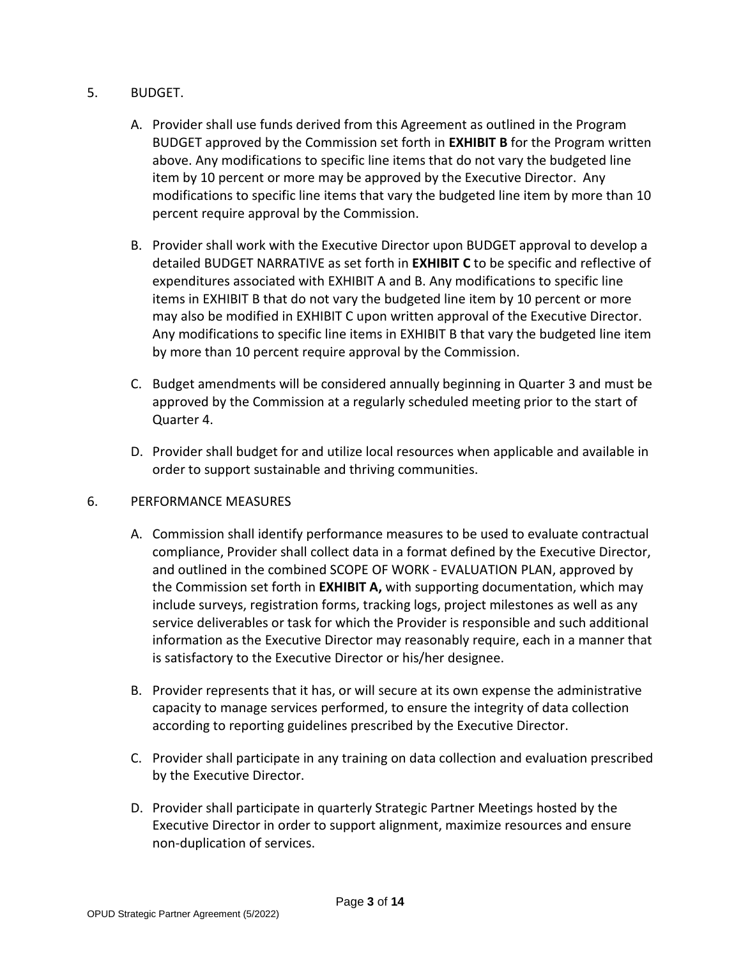## 5. BUDGET.

- A. Provider shall use funds derived from this Agreement as outlined in the Program BUDGET approved by the Commission set forth in **EXHIBIT B** for the Program written above. Any modifications to specific line items that do not vary the budgeted line item by 10 percent or more may be approved by the Executive Director. Any modifications to specific line items that vary the budgeted line item by more than 10 percent require approval by the Commission.
- B. Provider shall work with the Executive Director upon BUDGET approval to develop a detailed BUDGET NARRATIVE as set forth in **EXHIBIT C** to be specific and reflective of expenditures associated with EXHIBIT A and B. Any modifications to specific line items in EXHIBIT B that do not vary the budgeted line item by 10 percent or more may also be modified in EXHIBIT C upon written approval of the Executive Director. Any modifications to specific line items in EXHIBIT B that vary the budgeted line item by more than 10 percent require approval by the Commission.
- C. Budget amendments will be considered annually beginning in Quarter 3 and must be approved by the Commission at a regularly scheduled meeting prior to the start of Quarter 4.
- D. Provider shall budget for and utilize local resources when applicable and available in order to support sustainable and thriving communities.

### 6. PERFORMANCE MEASURES

- A. Commission shall identify performance measures to be used to evaluate contractual compliance, Provider shall collect data in a format defined by the Executive Director, and outlined in the combined SCOPE OF WORK - EVALUATION PLAN, approved by the Commission set forth in **EXHIBIT A,** with supporting documentation, which may include surveys, registration forms, tracking logs, project milestones as well as any service deliverables or task for which the Provider is responsible and such additional information as the Executive Director may reasonably require, each in a manner that is satisfactory to the Executive Director or his/her designee.
- B. Provider represents that it has, or will secure at its own expense the administrative capacity to manage services performed, to ensure the integrity of data collection according to reporting guidelines prescribed by the Executive Director.
- C. Provider shall participate in any training on data collection and evaluation prescribed by the Executive Director.
- D. Provider shall participate in quarterly Strategic Partner Meetings hosted by the Executive Director in order to support alignment, maximize resources and ensure non-duplication of services.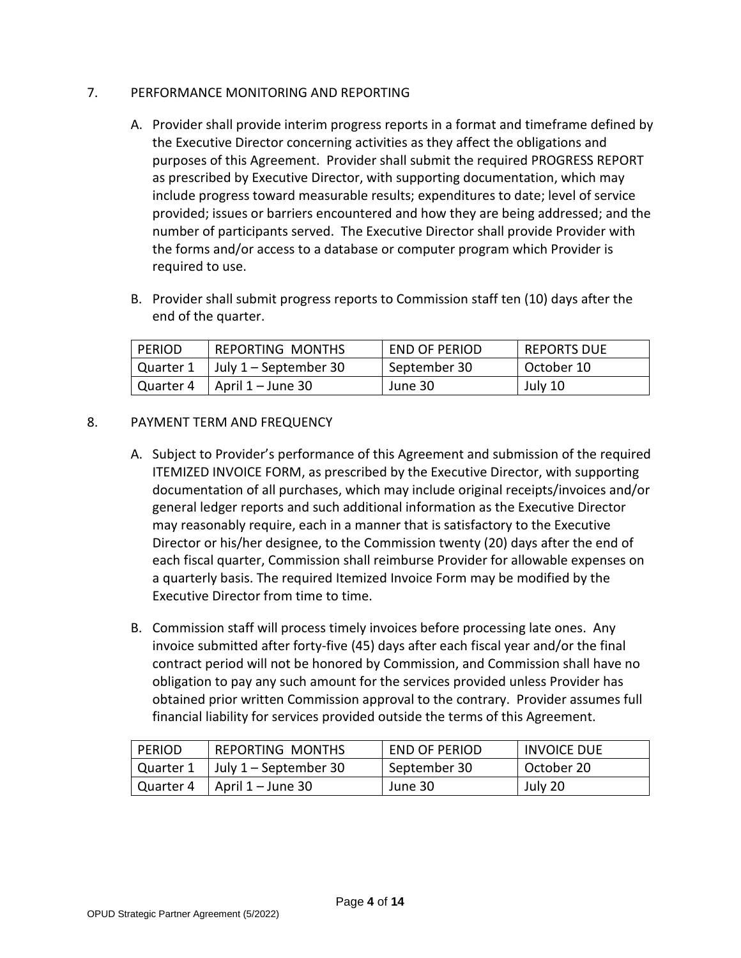## 7. PERFORMANCE MONITORING AND REPORTING

- A. Provider shall provide interim progress reports in a format and timeframe defined by the Executive Director concerning activities as they affect the obligations and purposes of this Agreement. Provider shall submit the required PROGRESS REPORT as prescribed by Executive Director, with supporting documentation, which may include progress toward measurable results; expenditures to date; level of service provided; issues or barriers encountered and how they are being addressed; and the number of participants served. The Executive Director shall provide Provider with the forms and/or access to a database or computer program which Provider is required to use.
- B. Provider shall submit progress reports to Commission staff ten (10) days after the end of the quarter.

| <b>PERIOD</b> | REPORTING MONTHS                                | <b>END OF PERIOD</b> | <b>REPORTS DUE</b> |
|---------------|-------------------------------------------------|----------------------|--------------------|
|               | $\vert$ Quarter 1 $\vert$ July 1 – September 30 | September 30         | October 10         |
| Quarter 4     | $\vert$ April 1 – June 30                       | June 30              | July 10            |

## 8. PAYMENT TERM AND FREQUENCY

- A. Subject to Provider's performance of this Agreement and submission of the required ITEMIZED INVOICE FORM, as prescribed by the Executive Director, with supporting documentation of all purchases, which may include original receipts/invoices and/or general ledger reports and such additional information as the Executive Director may reasonably require, each in a manner that is satisfactory to the Executive Director or his/her designee, to the Commission twenty (20) days after the end of each fiscal quarter, Commission shall reimburse Provider for allowable expenses on a quarterly basis. The required Itemized Invoice Form may be modified by the Executive Director from time to time.
- B. Commission staff will process timely invoices before processing late ones. Any invoice submitted after forty-five (45) days after each fiscal year and/or the final contract period will not be honored by Commission, and Commission shall have no obligation to pay any such amount for the services provided unless Provider has obtained prior written Commission approval to the contrary. Provider assumes full financial liability for services provided outside the terms of this Agreement.

| <b>PERIOD</b> | REPORTING MONTHS                            | <b>END OF PERIOD</b> | <b>INVOICE DUE</b> |
|---------------|---------------------------------------------|----------------------|--------------------|
|               | Quarter 1   July 1 – September 30           | September 30         | October 20         |
|               | $\vert$ Quarter 4 $\vert$ April 1 – June 30 | June 30              | July 20            |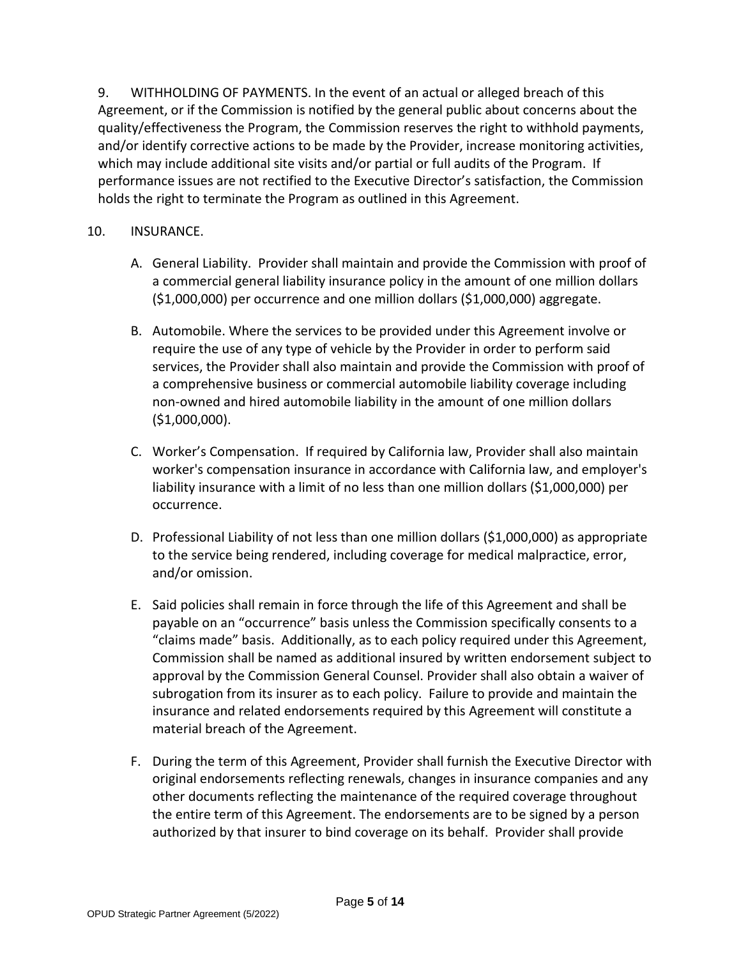9. WITHHOLDING OF PAYMENTS. In the event of an actual or alleged breach of this Agreement, or if the Commission is notified by the general public about concerns about the quality/effectiveness the Program, the Commission reserves the right to withhold payments, and/or identify corrective actions to be made by the Provider, increase monitoring activities, which may include additional site visits and/or partial or full audits of the Program. If performance issues are not rectified to the Executive Director's satisfaction, the Commission holds the right to terminate the Program as outlined in this Agreement.

### 10. INSURANCE.

- A. General Liability. Provider shall maintain and provide the Commission with proof of a commercial general liability insurance policy in the amount of one million dollars (\$1,000,000) per occurrence and one million dollars (\$1,000,000) aggregate.
- B. Automobile. Where the services to be provided under this Agreement involve or require the use of any type of vehicle by the Provider in order to perform said services, the Provider shall also maintain and provide the Commission with proof of a comprehensive business or commercial automobile liability coverage including non-owned and hired automobile liability in the amount of one million dollars (\$1,000,000).
- C. Worker's Compensation. If required by California law, Provider shall also maintain worker's compensation insurance in accordance with California law, and employer's liability insurance with a limit of no less than one million dollars (\$1,000,000) per occurrence.
- D. Professional Liability of not less than one million dollars (\$1,000,000) as appropriate to the service being rendered, including coverage for medical malpractice, error, and/or omission.
- E. Said policies shall remain in force through the life of this Agreement and shall be payable on an "occurrence" basis unless the Commission specifically consents to a "claims made" basis. Additionally, as to each policy required under this Agreement, Commission shall be named as additional insured by written endorsement subject to approval by the Commission General Counsel. Provider shall also obtain a waiver of subrogation from its insurer as to each policy. Failure to provide and maintain the insurance and related endorsements required by this Agreement will constitute a material breach of the Agreement.
- F. During the term of this Agreement, Provider shall furnish the Executive Director with original endorsements reflecting renewals, changes in insurance companies and any other documents reflecting the maintenance of the required coverage throughout the entire term of this Agreement. The endorsements are to be signed by a person authorized by that insurer to bind coverage on its behalf. Provider shall provide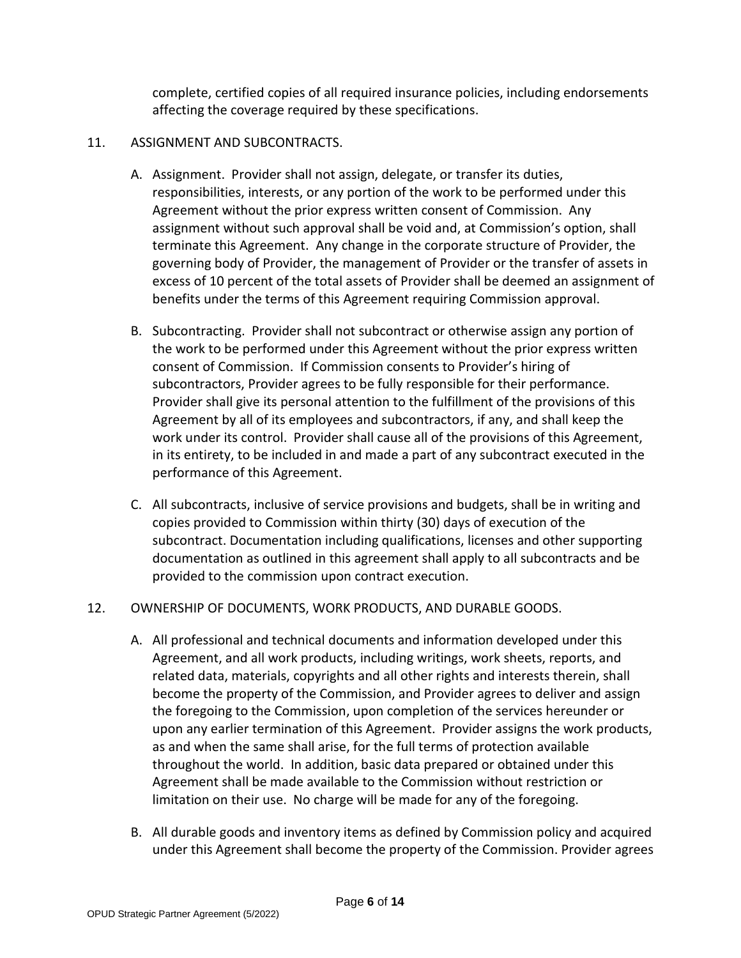complete, certified copies of all required insurance policies, including endorsements affecting the coverage required by these specifications.

## 11. ASSIGNMENT AND SUBCONTRACTS.

- A. Assignment. Provider shall not assign, delegate, or transfer its duties, responsibilities, interests, or any portion of the work to be performed under this Agreement without the prior express written consent of Commission. Any assignment without such approval shall be void and, at Commission's option, shall terminate this Agreement. Any change in the corporate structure of Provider, the governing body of Provider, the management of Provider or the transfer of assets in excess of 10 percent of the total assets of Provider shall be deemed an assignment of benefits under the terms of this Agreement requiring Commission approval.
- B. Subcontracting. Provider shall not subcontract or otherwise assign any portion of the work to be performed under this Agreement without the prior express written consent of Commission. If Commission consents to Provider's hiring of subcontractors, Provider agrees to be fully responsible for their performance. Provider shall give its personal attention to the fulfillment of the provisions of this Agreement by all of its employees and subcontractors, if any, and shall keep the work under its control. Provider shall cause all of the provisions of this Agreement, in its entirety, to be included in and made a part of any subcontract executed in the performance of this Agreement.
- C. All subcontracts, inclusive of service provisions and budgets, shall be in writing and copies provided to Commission within thirty (30) days of execution of the subcontract. Documentation including qualifications, licenses and other supporting documentation as outlined in this agreement shall apply to all subcontracts and be provided to the commission upon contract execution.

## 12. OWNERSHIP OF DOCUMENTS, WORK PRODUCTS, AND DURABLE GOODS.

- A. All professional and technical documents and information developed under this Agreement, and all work products, including writings, work sheets, reports, and related data, materials, copyrights and all other rights and interests therein, shall become the property of the Commission, and Provider agrees to deliver and assign the foregoing to the Commission, upon completion of the services hereunder or upon any earlier termination of this Agreement. Provider assigns the work products, as and when the same shall arise, for the full terms of protection available throughout the world. In addition, basic data prepared or obtained under this Agreement shall be made available to the Commission without restriction or limitation on their use. No charge will be made for any of the foregoing.
- B. All durable goods and inventory items as defined by Commission policy and acquired under this Agreement shall become the property of the Commission. Provider agrees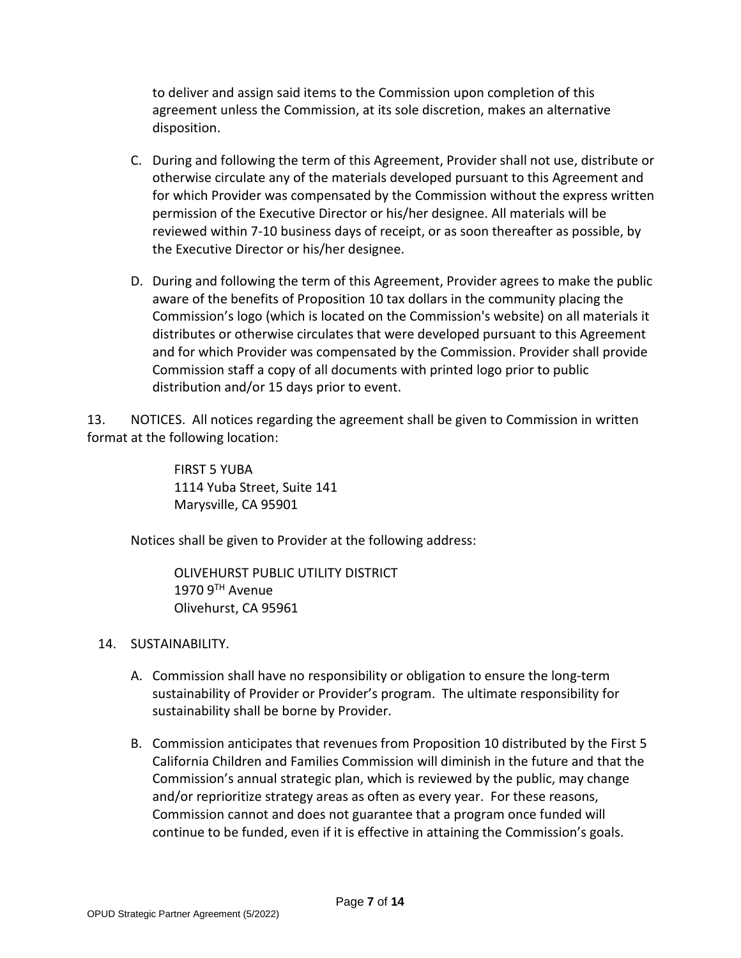to deliver and assign said items to the Commission upon completion of this agreement unless the Commission, at its sole discretion, makes an alternative disposition.

- C. During and following the term of this Agreement, Provider shall not use, distribute or otherwise circulate any of the materials developed pursuant to this Agreement and for which Provider was compensated by the Commission without the express written permission of the Executive Director or his/her designee. All materials will be reviewed within 7-10 business days of receipt, or as soon thereafter as possible, by the Executive Director or his/her designee.
- D. During and following the term of this Agreement, Provider agrees to make the public aware of the benefits of Proposition 10 tax dollars in the community placing the Commission's logo (which is located on the Commission's website) on all materials it distributes or otherwise circulates that were developed pursuant to this Agreement and for which Provider was compensated by the Commission. Provider shall provide Commission staff a copy of all documents with printed logo prior to public distribution and/or 15 days prior to event.

13. NOTICES. All notices regarding the agreement shall be given to Commission in written format at the following location:

> FIRST 5 YUBA 1114 Yuba Street, Suite 141 Marysville, CA 95901

Notices shall be given to Provider at the following address:

OLIVEHURST PUBLIC UTILITY DISTRICT  $1970$   $9<sup>TH</sup>$  Avenue Olivehurst, CA 95961

## 14. SUSTAINABILITY.

- A. Commission shall have no responsibility or obligation to ensure the long-term sustainability of Provider or Provider's program. The ultimate responsibility for sustainability shall be borne by Provider.
- B. Commission anticipates that revenues from Proposition 10 distributed by the First 5 California Children and Families Commission will diminish in the future and that the Commission's annual strategic plan, which is reviewed by the public, may change and/or reprioritize strategy areas as often as every year. For these reasons, Commission cannot and does not guarantee that a program once funded will continue to be funded, even if it is effective in attaining the Commission's goals.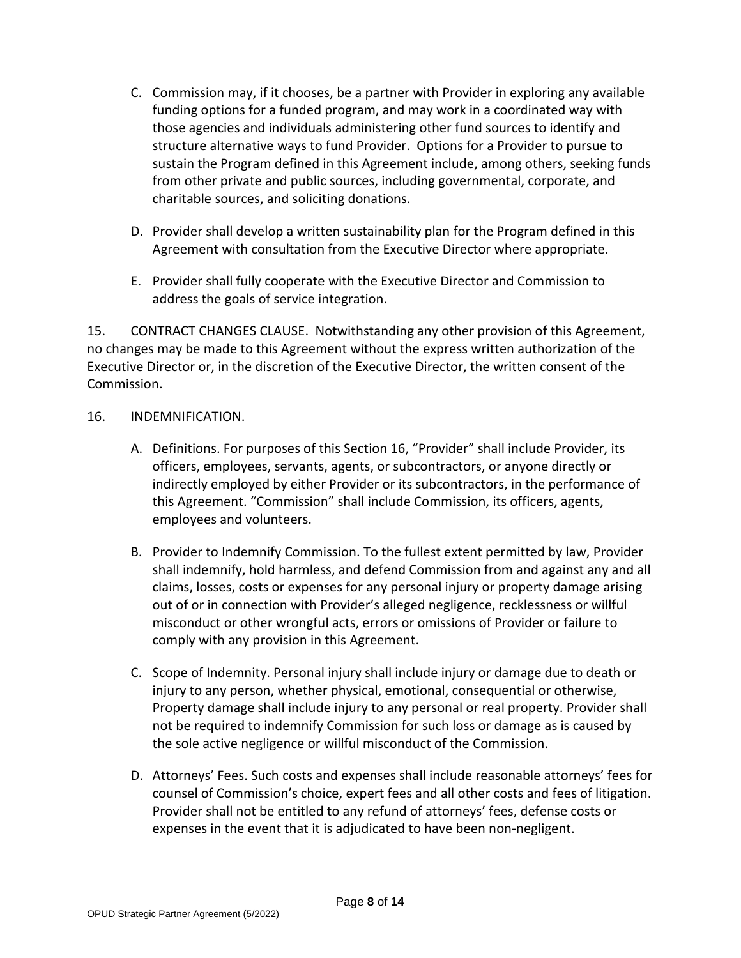- C. Commission may, if it chooses, be a partner with Provider in exploring any available funding options for a funded program, and may work in a coordinated way with those agencies and individuals administering other fund sources to identify and structure alternative ways to fund Provider. Options for a Provider to pursue to sustain the Program defined in this Agreement include, among others, seeking funds from other private and public sources, including governmental, corporate, and charitable sources, and soliciting donations.
- D. Provider shall develop a written sustainability plan for the Program defined in this Agreement with consultation from the Executive Director where appropriate.
- E. Provider shall fully cooperate with the Executive Director and Commission to address the goals of service integration.

15. CONTRACT CHANGES CLAUSE. Notwithstanding any other provision of this Agreement, no changes may be made to this Agreement without the express written authorization of the Executive Director or, in the discretion of the Executive Director, the written consent of the Commission.

### 16. INDEMNIFICATION.

- A. Definitions. For purposes of this Section 16, "Provider" shall include Provider, its officers, employees, servants, agents, or subcontractors, or anyone directly or indirectly employed by either Provider or its subcontractors, in the performance of this Agreement. "Commission" shall include Commission, its officers, agents, employees and volunteers.
- B. Provider to Indemnify Commission. To the fullest extent permitted by law, Provider shall indemnify, hold harmless, and defend Commission from and against any and all claims, losses, costs or expenses for any personal injury or property damage arising out of or in connection with Provider's alleged negligence, recklessness or willful misconduct or other wrongful acts, errors or omissions of Provider or failure to comply with any provision in this Agreement.
- C. Scope of Indemnity. Personal injury shall include injury or damage due to death or injury to any person, whether physical, emotional, consequential or otherwise, Property damage shall include injury to any personal or real property. Provider shall not be required to indemnify Commission for such loss or damage as is caused by the sole active negligence or willful misconduct of the Commission.
- D. Attorneys' Fees. Such costs and expenses shall include reasonable attorneys' fees for counsel of Commission's choice, expert fees and all other costs and fees of litigation. Provider shall not be entitled to any refund of attorneys' fees, defense costs or expenses in the event that it is adjudicated to have been non-negligent.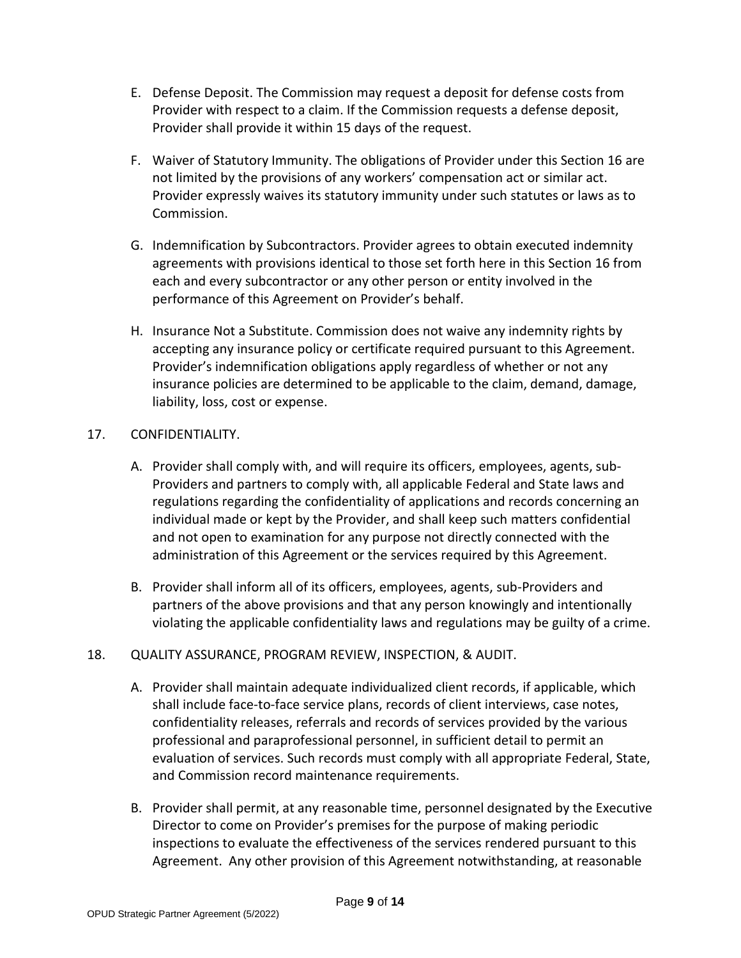- E. Defense Deposit. The Commission may request a deposit for defense costs from Provider with respect to a claim. If the Commission requests a defense deposit, Provider shall provide it within 15 days of the request.
- F. Waiver of Statutory Immunity. The obligations of Provider under this Section 16 are not limited by the provisions of any workers' compensation act or similar act. Provider expressly waives its statutory immunity under such statutes or laws as to Commission.
- G. Indemnification by Subcontractors. Provider agrees to obtain executed indemnity agreements with provisions identical to those set forth here in this Section 16 from each and every subcontractor or any other person or entity involved in the performance of this Agreement on Provider's behalf.
- H. Insurance Not a Substitute. Commission does not waive any indemnity rights by accepting any insurance policy or certificate required pursuant to this Agreement. Provider's indemnification obligations apply regardless of whether or not any insurance policies are determined to be applicable to the claim, demand, damage, liability, loss, cost or expense.

## 17. CONFIDENTIALITY.

- A. Provider shall comply with, and will require its officers, employees, agents, sub-Providers and partners to comply with, all applicable Federal and State laws and regulations regarding the confidentiality of applications and records concerning an individual made or kept by the Provider, and shall keep such matters confidential and not open to examination for any purpose not directly connected with the administration of this Agreement or the services required by this Agreement.
- B. Provider shall inform all of its officers, employees, agents, sub-Providers and partners of the above provisions and that any person knowingly and intentionally violating the applicable confidentiality laws and regulations may be guilty of a crime.

## 18. QUALITY ASSURANCE, PROGRAM REVIEW, INSPECTION, & AUDIT.

- A. Provider shall maintain adequate individualized client records, if applicable, which shall include face-to-face service plans, records of client interviews, case notes, confidentiality releases, referrals and records of services provided by the various professional and paraprofessional personnel, in sufficient detail to permit an evaluation of services. Such records must comply with all appropriate Federal, State, and Commission record maintenance requirements.
- B. Provider shall permit, at any reasonable time, personnel designated by the Executive Director to come on Provider's premises for the purpose of making periodic inspections to evaluate the effectiveness of the services rendered pursuant to this Agreement. Any other provision of this Agreement notwithstanding, at reasonable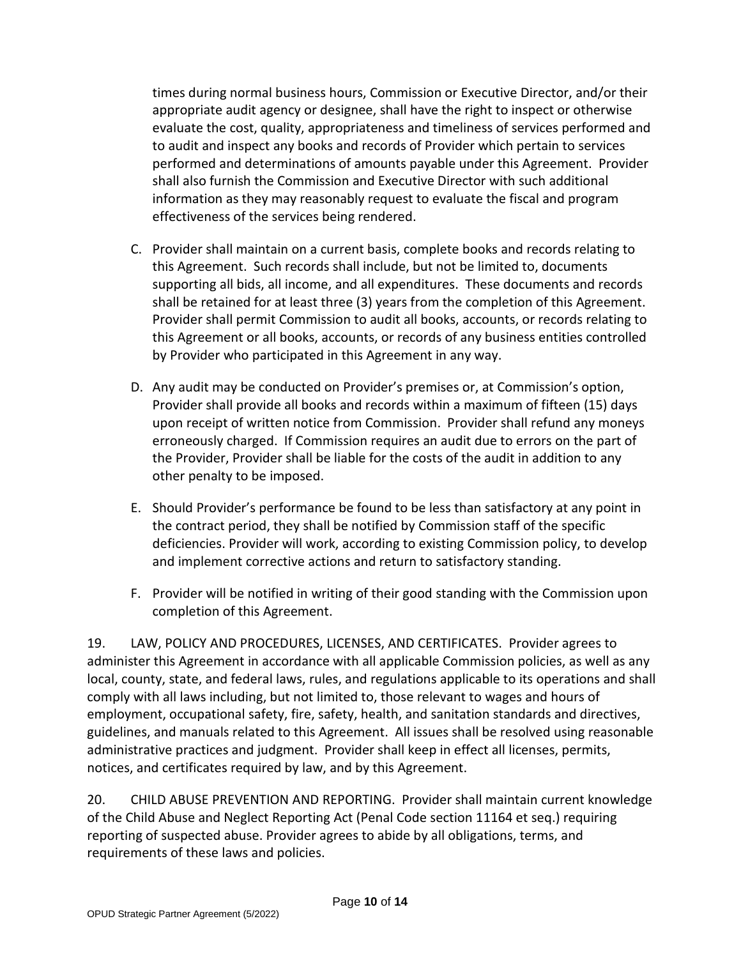times during normal business hours, Commission or Executive Director, and/or their appropriate audit agency or designee, shall have the right to inspect or otherwise evaluate the cost, quality, appropriateness and timeliness of services performed and to audit and inspect any books and records of Provider which pertain to services performed and determinations of amounts payable under this Agreement. Provider shall also furnish the Commission and Executive Director with such additional information as they may reasonably request to evaluate the fiscal and program effectiveness of the services being rendered.

- C. Provider shall maintain on a current basis, complete books and records relating to this Agreement. Such records shall include, but not be limited to, documents supporting all bids, all income, and all expenditures. These documents and records shall be retained for at least three (3) years from the completion of this Agreement. Provider shall permit Commission to audit all books, accounts, or records relating to this Agreement or all books, accounts, or records of any business entities controlled by Provider who participated in this Agreement in any way.
- D. Any audit may be conducted on Provider's premises or, at Commission's option, Provider shall provide all books and records within a maximum of fifteen (15) days upon receipt of written notice from Commission. Provider shall refund any moneys erroneously charged. If Commission requires an audit due to errors on the part of the Provider, Provider shall be liable for the costs of the audit in addition to any other penalty to be imposed.
- E. Should Provider's performance be found to be less than satisfactory at any point in the contract period, they shall be notified by Commission staff of the specific deficiencies. Provider will work, according to existing Commission policy, to develop and implement corrective actions and return to satisfactory standing.
- F. Provider will be notified in writing of their good standing with the Commission upon completion of this Agreement.

19. LAW, POLICY AND PROCEDURES, LICENSES, AND CERTIFICATES. Provider agrees to administer this Agreement in accordance with all applicable Commission policies, as well as any local, county, state, and federal laws, rules, and regulations applicable to its operations and shall comply with all laws including, but not limited to, those relevant to wages and hours of employment, occupational safety, fire, safety, health, and sanitation standards and directives, guidelines, and manuals related to this Agreement. All issues shall be resolved using reasonable administrative practices and judgment. Provider shall keep in effect all licenses, permits, notices, and certificates required by law, and by this Agreement.

20. CHILD ABUSE PREVENTION AND REPORTING. Provider shall maintain current knowledge of the Child Abuse and Neglect Reporting Act (Penal Code section 11164 et seq.) requiring reporting of suspected abuse. Provider agrees to abide by all obligations, terms, and requirements of these laws and policies.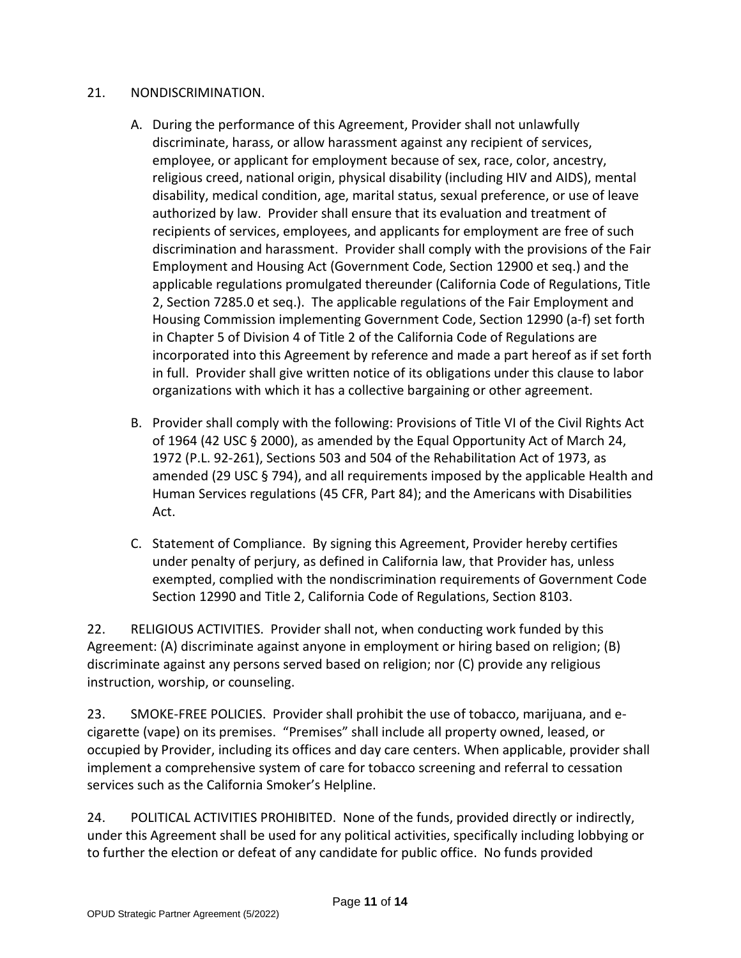## 21. NONDISCRIMINATION.

- A. During the performance of this Agreement, Provider shall not unlawfully discriminate, harass, or allow harassment against any recipient of services, employee, or applicant for employment because of sex, race, color, ancestry, religious creed, national origin, physical disability (including HIV and AIDS), mental disability, medical condition, age, marital status, sexual preference, or use of leave authorized by law. Provider shall ensure that its evaluation and treatment of recipients of services, employees, and applicants for employment are free of such discrimination and harassment. Provider shall comply with the provisions of the Fair Employment and Housing Act (Government Code, Section 12900 et seq.) and the applicable regulations promulgated thereunder (California Code of Regulations, Title 2, Section 7285.0 et seq.). The applicable regulations of the Fair Employment and Housing Commission implementing Government Code, Section 12990 (a-f) set forth in Chapter 5 of Division 4 of Title 2 of the California Code of Regulations are incorporated into this Agreement by reference and made a part hereof as if set forth in full. Provider shall give written notice of its obligations under this clause to labor organizations with which it has a collective bargaining or other agreement.
- B. Provider shall comply with the following: Provisions of Title VI of the Civil Rights Act of 1964 (42 USC § 2000), as amended by the Equal Opportunity Act of March 24, 1972 (P.L. 92-261), Sections 503 and 504 of the Rehabilitation Act of 1973, as amended (29 USC § 794), and all requirements imposed by the applicable Health and Human Services regulations (45 CFR, Part 84); and the Americans with Disabilities Act.
- C. Statement of Compliance. By signing this Agreement, Provider hereby certifies under penalty of perjury, as defined in California law, that Provider has, unless exempted, complied with the nondiscrimination requirements of Government Code Section 12990 and Title 2, California Code of Regulations, Section 8103.

22. RELIGIOUS ACTIVITIES. Provider shall not, when conducting work funded by this Agreement: (A) discriminate against anyone in employment or hiring based on religion; (B) discriminate against any persons served based on religion; nor (C) provide any religious instruction, worship, or counseling.

23. SMOKE-FREE POLICIES. Provider shall prohibit the use of tobacco, marijuana, and ecigarette (vape) on its premises. "Premises" shall include all property owned, leased, or occupied by Provider, including its offices and day care centers. When applicable, provider shall implement a comprehensive system of care for tobacco screening and referral to cessation services such as the California Smoker's Helpline.

24. POLITICAL ACTIVITIES PROHIBITED. None of the funds, provided directly or indirectly, under this Agreement shall be used for any political activities, specifically including lobbying or to further the election or defeat of any candidate for public office. No funds provided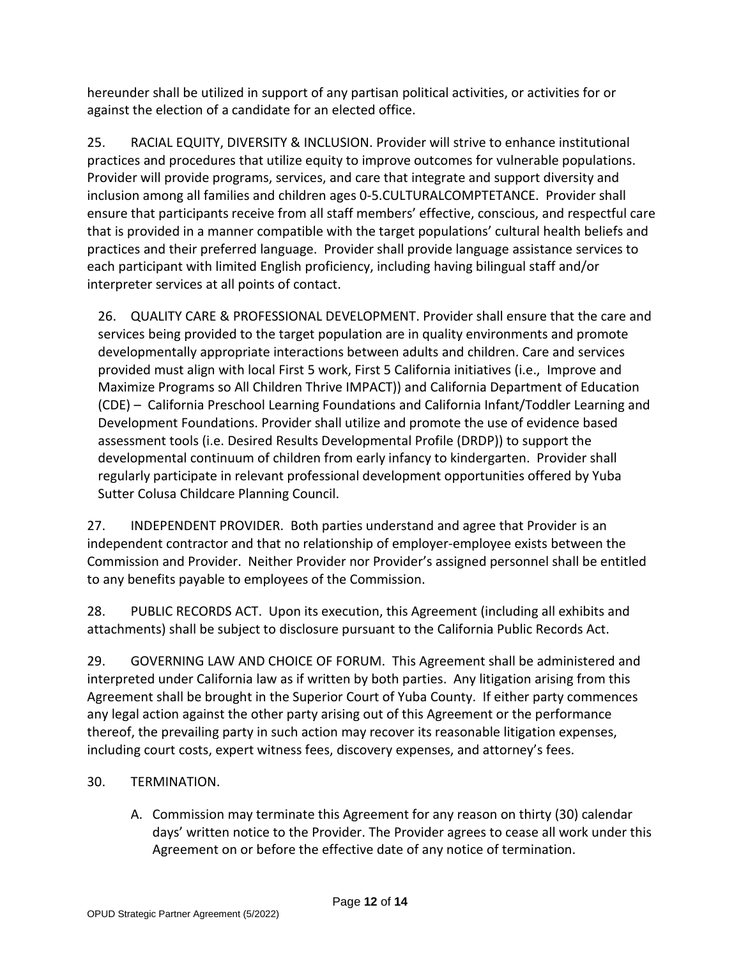hereunder shall be utilized in support of any partisan political activities, or activities for or against the election of a candidate for an elected office.

25. RACIAL EQUITY, DIVERSITY & INCLUSION. Provider will strive to enhance institutional practices and procedures that utilize equity to improve outcomes for vulnerable populations. Provider will provide programs, services, and care that integrate and support diversity and inclusion among all families and children ages 0-5.CULTURALCOMPTETANCE. Provider shall ensure that participants receive from all staff members' effective, conscious, and respectful care that is provided in a manner compatible with the target populations' cultural health beliefs and practices and their preferred language. Provider shall provide language assistance services to each participant with limited English proficiency, including having bilingual staff and/or interpreter services at all points of contact.

26. QUALITY CARE & PROFESSIONAL DEVELOPMENT. Provider shall ensure that the care and services being provided to the target population are in quality environments and promote developmentally appropriate interactions between adults and children. Care and services provided must align with local First 5 work, First 5 California initiatives (i.e., Improve and Maximize Programs so All Children Thrive IMPACT)) and California Department of Education (CDE) – California Preschool Learning Foundations and California Infant/Toddler Learning and Development Foundations. Provider shall utilize and promote the use of evidence based assessment tools (i.e. Desired Results Developmental Profile (DRDP)) to support the developmental continuum of children from early infancy to kindergarten. Provider shall regularly participate in relevant professional development opportunities offered by Yuba Sutter Colusa Childcare Planning Council.

27. INDEPENDENT PROVIDER. Both parties understand and agree that Provider is an independent contractor and that no relationship of employer-employee exists between the Commission and Provider. Neither Provider nor Provider's assigned personnel shall be entitled to any benefits payable to employees of the Commission.

28. PUBLIC RECORDS ACT. Upon its execution, this Agreement (including all exhibits and attachments) shall be subject to disclosure pursuant to the California Public Records Act.

29. GOVERNING LAW AND CHOICE OF FORUM. This Agreement shall be administered and interpreted under California law as if written by both parties. Any litigation arising from this Agreement shall be brought in the Superior Court of Yuba County. If either party commences any legal action against the other party arising out of this Agreement or the performance thereof, the prevailing party in such action may recover its reasonable litigation expenses, including court costs, expert witness fees, discovery expenses, and attorney's fees.

## 30. TERMINATION.

A. Commission may terminate this Agreement for any reason on thirty (30) calendar days' written notice to the Provider. The Provider agrees to cease all work under this Agreement on or before the effective date of any notice of termination.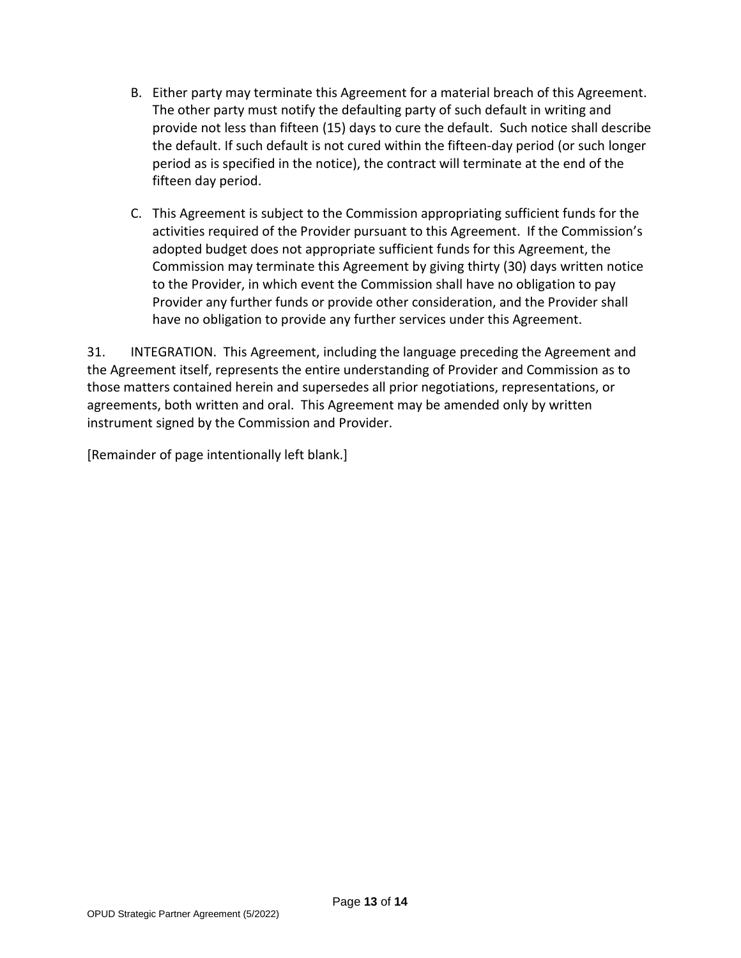- B. Either party may terminate this Agreement for a material breach of this Agreement. The other party must notify the defaulting party of such default in writing and provide not less than fifteen (15) days to cure the default. Such notice shall describe the default. If such default is not cured within the fifteen-day period (or such longer period as is specified in the notice), the contract will terminate at the end of the fifteen day period.
- C. This Agreement is subject to the Commission appropriating sufficient funds for the activities required of the Provider pursuant to this Agreement. If the Commission's adopted budget does not appropriate sufficient funds for this Agreement, the Commission may terminate this Agreement by giving thirty (30) days written notice to the Provider, in which event the Commission shall have no obligation to pay Provider any further funds or provide other consideration, and the Provider shall have no obligation to provide any further services under this Agreement.

31. INTEGRATION. This Agreement, including the language preceding the Agreement and the Agreement itself, represents the entire understanding of Provider and Commission as to those matters contained herein and supersedes all prior negotiations, representations, or agreements, both written and oral. This Agreement may be amended only by written instrument signed by the Commission and Provider.

[Remainder of page intentionally left blank.]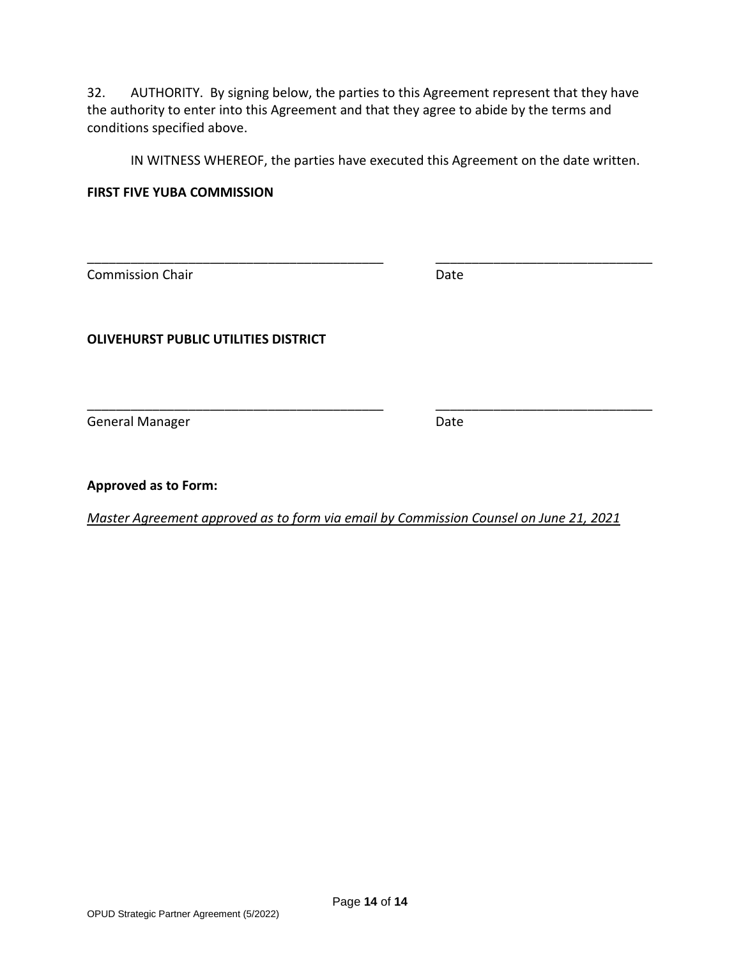32. AUTHORITY. By signing below, the parties to this Agreement represent that they have the authority to enter into this Agreement and that they agree to abide by the terms and conditions specified above.

IN WITNESS WHEREOF, the parties have executed this Agreement on the date written.

#### **FIRST FIVE YUBA COMMISSION**

**Commission Chair Date** Date

\_\_\_\_\_\_\_\_\_\_\_\_\_\_\_\_\_\_\_\_\_\_\_\_\_\_\_\_\_\_\_\_\_\_\_\_\_\_\_\_\_ \_\_\_\_\_\_\_\_\_\_\_\_\_\_\_\_\_\_\_\_\_\_\_\_\_\_\_\_\_\_

**OLIVEHURST PUBLIC UTILITIES DISTRICT**

General Manager Date Communications and Date

**Approved as to Form:**

*Master Agreement approved as to form via email by Commission Counsel on June 21, 2021*

\_\_\_\_\_\_\_\_\_\_\_\_\_\_\_\_\_\_\_\_\_\_\_\_\_\_\_\_\_\_\_\_\_\_\_\_\_\_\_\_\_ \_\_\_\_\_\_\_\_\_\_\_\_\_\_\_\_\_\_\_\_\_\_\_\_\_\_\_\_\_\_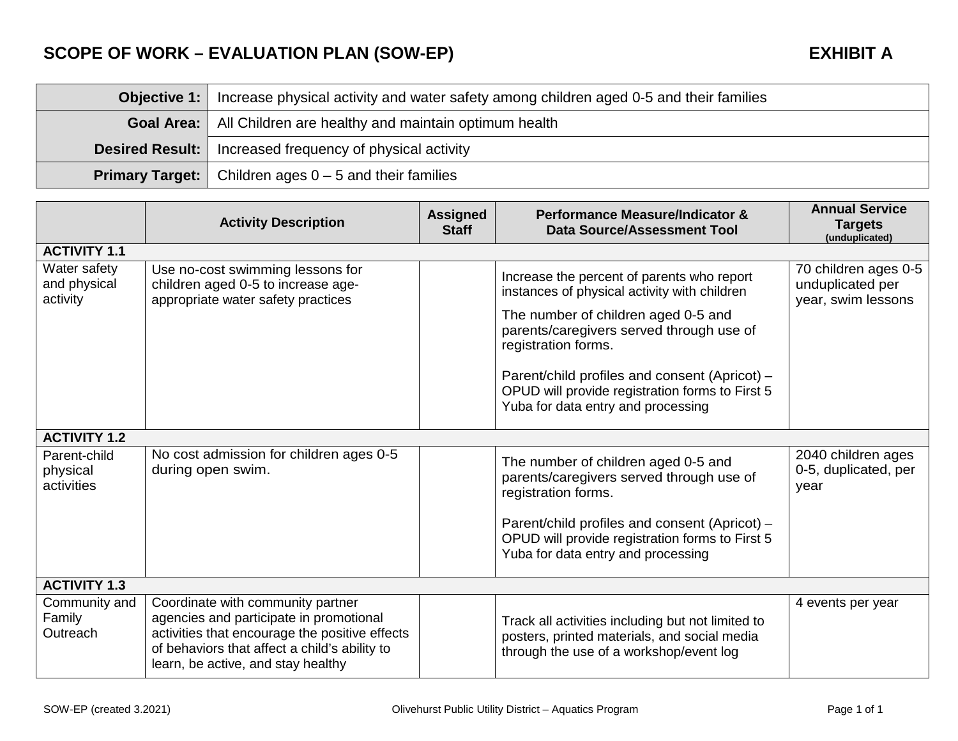# **SCOPE OF WORK – EVALUATION PLAN (SOW-EP) EXHIBIT A**

| <b>Objective 1:</b> Increase physical activity and water safety among children aged 0-5 and their families |  |  |
|------------------------------------------------------------------------------------------------------------|--|--|
| <b>Goal Area:</b>   All Children are healthy and maintain optimum health                                   |  |  |
| <b>Desired Result:</b>   Increased frequency of physical activity                                          |  |  |
| <b>Primary Target:</b> $\vert$ Children ages $0 - 5$ and their families                                    |  |  |

|                                          | <b>Activity Description</b>                                                                                                                                                                                           | <b>Assigned</b><br><b>Staff</b> | Performance Measure/Indicator &<br><b>Data Source/Assessment Tool</b>                                                                                                                                                                                                                                                                          | <b>Annual Service</b><br><b>Targets</b><br>(unduplicated)      |  |
|------------------------------------------|-----------------------------------------------------------------------------------------------------------------------------------------------------------------------------------------------------------------------|---------------------------------|------------------------------------------------------------------------------------------------------------------------------------------------------------------------------------------------------------------------------------------------------------------------------------------------------------------------------------------------|----------------------------------------------------------------|--|
| <b>ACTIVITY 1.1</b>                      |                                                                                                                                                                                                                       |                                 |                                                                                                                                                                                                                                                                                                                                                |                                                                |  |
| Water safety<br>and physical<br>activity | Use no-cost swimming lessons for<br>children aged 0-5 to increase age-<br>appropriate water safety practices                                                                                                          |                                 | Increase the percent of parents who report<br>instances of physical activity with children<br>The number of children aged 0-5 and<br>parents/caregivers served through use of<br>registration forms.<br>Parent/child profiles and consent (Apricot) -<br>OPUD will provide registration forms to First 5<br>Yuba for data entry and processing | 70 children ages 0-5<br>unduplicated per<br>year, swim lessons |  |
| <b>ACTIVITY 1.2</b>                      |                                                                                                                                                                                                                       |                                 |                                                                                                                                                                                                                                                                                                                                                |                                                                |  |
| Parent-child<br>physical<br>activities   | No cost admission for children ages 0-5<br>during open swim.                                                                                                                                                          |                                 | The number of children aged 0-5 and<br>parents/caregivers served through use of<br>registration forms.<br>Parent/child profiles and consent (Apricot) -<br>OPUD will provide registration forms to First 5<br>Yuba for data entry and processing                                                                                               | 2040 children ages<br>0-5, duplicated, per<br>year             |  |
| <b>ACTIVITY 1.3</b>                      |                                                                                                                                                                                                                       |                                 |                                                                                                                                                                                                                                                                                                                                                |                                                                |  |
| Community and<br>Family<br>Outreach      | Coordinate with community partner<br>agencies and participate in promotional<br>activities that encourage the positive effects<br>of behaviors that affect a child's ability to<br>learn, be active, and stay healthy |                                 | Track all activities including but not limited to<br>posters, printed materials, and social media<br>through the use of a workshop/event log                                                                                                                                                                                                   | 4 events per year                                              |  |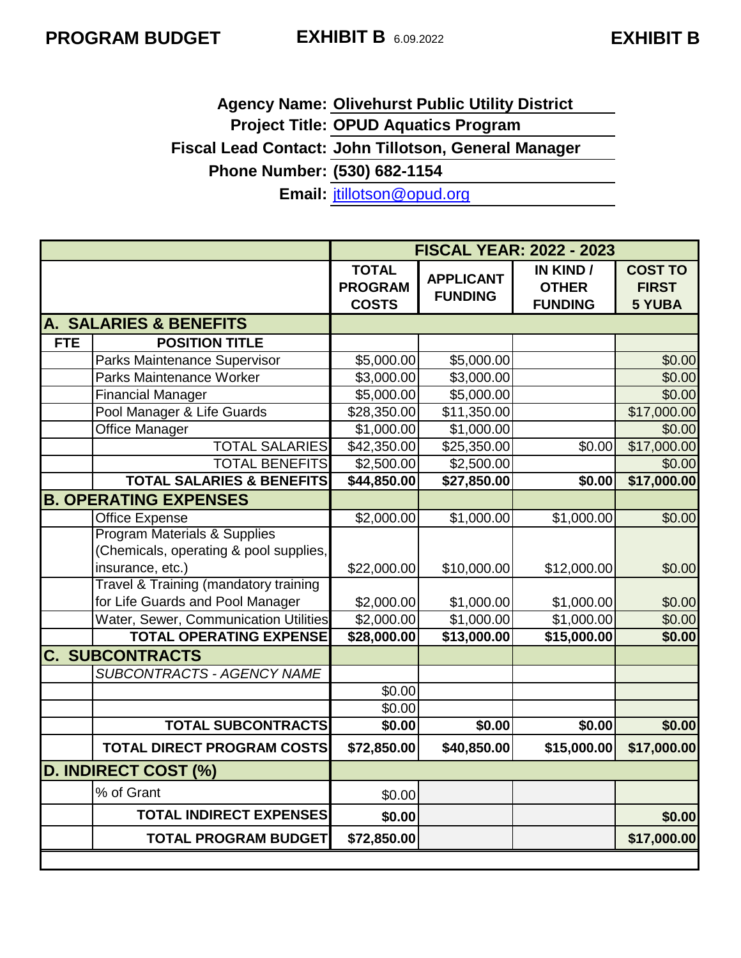# **Agency Name: Olivehurst Public Utility District Project Title: OPUD Aquatics Program Fiscal Lead Contact: John Tillotson, General Manager Phone Number: (530) 682-1154 Email:** [jtillotson@opud.org](mailto:jtillotson@opud.org)

|            |                                         | <b>FISCAL YEAR: 2022 - 2023</b>                |                                    |                                             |                                                 |
|------------|-----------------------------------------|------------------------------------------------|------------------------------------|---------------------------------------------|-------------------------------------------------|
|            |                                         | <b>TOTAL</b><br><b>PROGRAM</b><br><b>COSTS</b> | <b>APPLICANT</b><br><b>FUNDING</b> | IN KIND /<br><b>OTHER</b><br><b>FUNDING</b> | <b>COST TO</b><br><b>FIRST</b><br><b>5 YUBA</b> |
|            | A. SALARIES & BENEFITS                  |                                                |                                    |                                             |                                                 |
| <b>FTE</b> | <b>POSITION TITLE</b>                   |                                                |                                    |                                             |                                                 |
|            | <b>Parks Maintenance Supervisor</b>     | \$5,000.00                                     | \$5,000.00                         |                                             | \$0.00                                          |
|            | Parks Maintenance Worker                | \$3,000.00                                     | \$3,000.00                         |                                             | \$0.00                                          |
|            | <b>Financial Manager</b>                | \$5,000.00                                     | \$5,000.00                         |                                             | \$0.00                                          |
|            | Pool Manager & Life Guards              | \$28,350.00                                    | \$11,350.00                        |                                             | \$17,000.00                                     |
|            | <b>Office Manager</b>                   | \$1,000.00                                     | \$1,000.00                         |                                             | \$0.00                                          |
|            | <b>TOTAL SALARIES</b>                   | \$42,350.00                                    | \$25,350.00                        | \$0.00                                      | \$17,000.00                                     |
|            | <b>TOTAL BENEFITS</b>                   | \$2,500.00                                     | \$2,500.00                         |                                             | \$0.00                                          |
|            | <b>TOTAL SALARIES &amp; BENEFITS</b>    | \$44,850.00                                    | \$27,850.00                        | \$0.00                                      | \$17,000.00                                     |
|            | <b>B. OPERATING EXPENSES</b>            |                                                |                                    |                                             |                                                 |
|            | <b>Office Expense</b>                   | \$2,000.00                                     | \$1,000.00                         | \$1,000.00                                  | \$0.00                                          |
|            | <b>Program Materials &amp; Supplies</b> |                                                |                                    |                                             |                                                 |
|            | (Chemicals, operating & pool supplies,  |                                                |                                    |                                             |                                                 |
|            | insurance, etc.)                        | \$22,000.00                                    | \$10,000.00                        | \$12,000.00                                 | \$0.00                                          |
|            | Travel & Training (mandatory training   |                                                |                                    |                                             |                                                 |
|            | for Life Guards and Pool Manager        | \$2,000.00                                     | \$1,000.00                         | \$1,000.00                                  | \$0.00                                          |
|            | Water, Sewer, Communication Utilities   | \$2,000.00                                     | \$1,000.00                         | \$1,000.00                                  | \$0.00                                          |
|            | <b>TOTAL OPERATING EXPENSE</b>          | \$28,000.00                                    | \$13,000.00                        | \$15,000.00                                 | \$0.00                                          |
|            | <b>C. SUBCONTRACTS</b>                  |                                                |                                    |                                             |                                                 |
|            | <b>SUBCONTRACTS - AGENCY NAME</b>       |                                                |                                    |                                             |                                                 |
|            |                                         | \$0.00                                         |                                    |                                             |                                                 |
|            |                                         | \$0.00                                         |                                    |                                             |                                                 |
|            | <b>TOTAL SUBCONTRACTS</b>               | \$0.00                                         | \$0.00                             | \$0.00                                      | \$0.00                                          |
|            | <b>TOTAL DIRECT PROGRAM COSTS</b>       | \$72,850.00                                    | \$40,850.00                        | \$15,000.00                                 | \$17,000.00                                     |
|            | <b>D. INDIRECT COST (%)</b>             |                                                |                                    |                                             |                                                 |
|            | % of Grant                              | \$0.00                                         |                                    |                                             |                                                 |
|            | <b>TOTAL INDIRECT EXPENSES</b>          | \$0.00                                         |                                    |                                             | \$0.00                                          |
|            | <b>TOTAL PROGRAM BUDGET</b>             | \$72,850.00                                    |                                    |                                             | \$17,000.00                                     |
|            |                                         |                                                |                                    |                                             |                                                 |